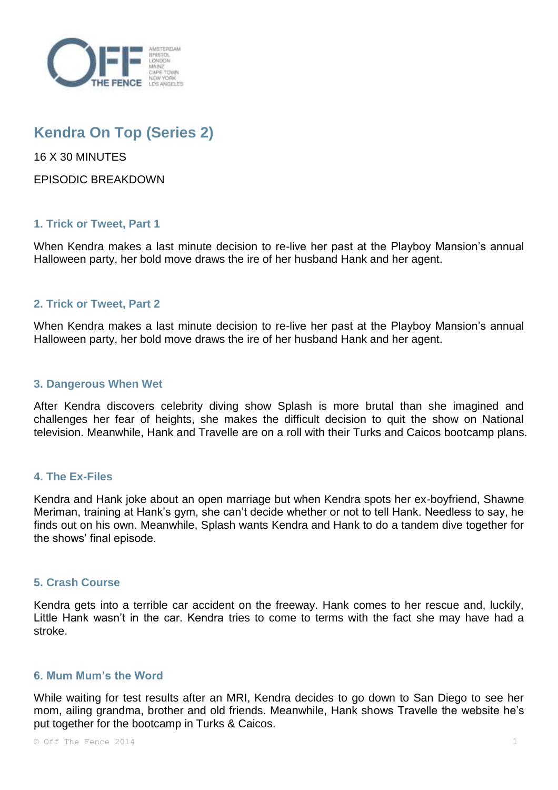

# **Kendra On Top (Series 2)**

16 X 30 MINUTES

EPISODIC BREAKDOWN

# **1. Trick or Tweet, Part 1**

When Kendra makes a last minute decision to re-live her past at the Playboy Mansion's annual Halloween party, her bold move draws the ire of her husband Hank and her agent.

## **2. Trick or Tweet, Part 2**

When Kendra makes a last minute decision to re-live her past at the Playboy Mansion's annual Halloween party, her bold move draws the ire of her husband Hank and her agent.

## **3. Dangerous When Wet**

After Kendra discovers celebrity diving show Splash is more brutal than she imagined and challenges her fear of heights, she makes the difficult decision to quit the show on National television. Meanwhile, Hank and Travelle are on a roll with their Turks and Caicos bootcamp plans.

## **4. The Ex-Files**

Kendra and Hank joke about an open marriage but when Kendra spots her ex-boyfriend, Shawne Meriman, training at Hank's gym, she can't decide whether or not to tell Hank. Needless to say, he finds out on his own. Meanwhile, Splash wants Kendra and Hank to do a tandem dive together for the shows' final episode.

## **5. Crash Course**

Kendra gets into a terrible car accident on the freeway. Hank comes to her rescue and, luckily, Little Hank wasn't in the car. Kendra tries to come to terms with the fact she may have had a stroke.

# **6. Mum Mum's the Word**

While waiting for test results after an MRI, Kendra decides to go down to San Diego to see her mom, ailing grandma, brother and old friends. Meanwhile, Hank shows Travelle the website he's put together for the bootcamp in Turks & Caicos.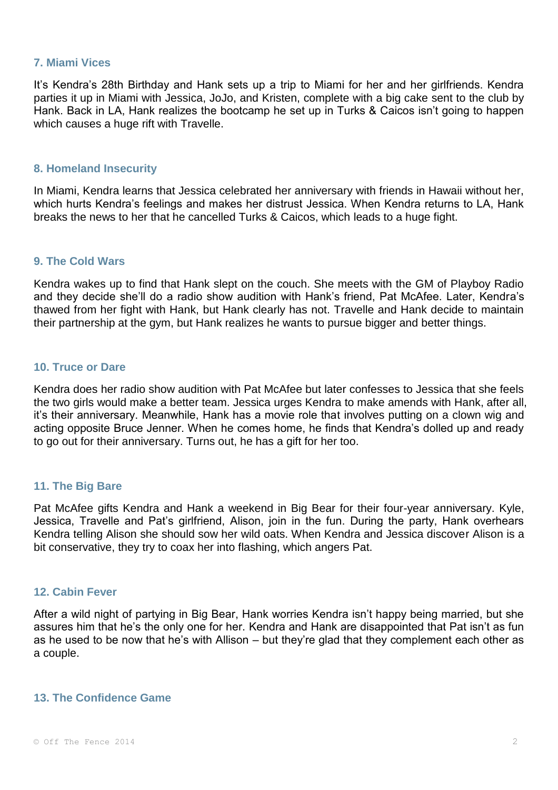#### **7. Miami Vices**

It's Kendra's 28th Birthday and Hank sets up a trip to Miami for her and her girlfriends. Kendra parties it up in Miami with Jessica, JoJo, and Kristen, complete with a big cake sent to the club by Hank. Back in LA, Hank realizes the bootcamp he set up in Turks & Caicos isn't going to happen which causes a huge rift with Travelle.

#### **8. Homeland Insecurity**

In Miami, Kendra learns that Jessica celebrated her anniversary with friends in Hawaii without her, which hurts Kendra's feelings and makes her distrust Jessica. When Kendra returns to LA, Hank breaks the news to her that he cancelled Turks & Caicos, which leads to a huge fight.

#### **9. The Cold Wars**

Kendra wakes up to find that Hank slept on the couch. She meets with the GM of Playboy Radio and they decide she'll do a radio show audition with Hank's friend, Pat McAfee. Later, Kendra's thawed from her fight with Hank, but Hank clearly has not. Travelle and Hank decide to maintain their partnership at the gym, but Hank realizes he wants to pursue bigger and better things.

## **10. Truce or Dare**

Kendra does her radio show audition with Pat McAfee but later confesses to Jessica that she feels the two girls would make a better team. Jessica urges Kendra to make amends with Hank, after all, it's their anniversary. Meanwhile, Hank has a movie role that involves putting on a clown wig and acting opposite Bruce Jenner. When he comes home, he finds that Kendra's dolled up and ready to go out for their anniversary. Turns out, he has a gift for her too.

## **11. The Big Bare**

Pat McAfee gifts Kendra and Hank a weekend in Big Bear for their four-year anniversary. Kyle, Jessica, Travelle and Pat's girlfriend, Alison, join in the fun. During the party, Hank overhears Kendra telling Alison she should sow her wild oats. When Kendra and Jessica discover Alison is a bit conservative, they try to coax her into flashing, which angers Pat.

#### **12. Cabin Fever**

After a wild night of partying in Big Bear, Hank worries Kendra isn't happy being married, but she assures him that he's the only one for her. Kendra and Hank are disappointed that Pat isn't as fun as he used to be now that he's with Allison – but they're glad that they complement each other as a couple.

# **13. The Confidence Game**